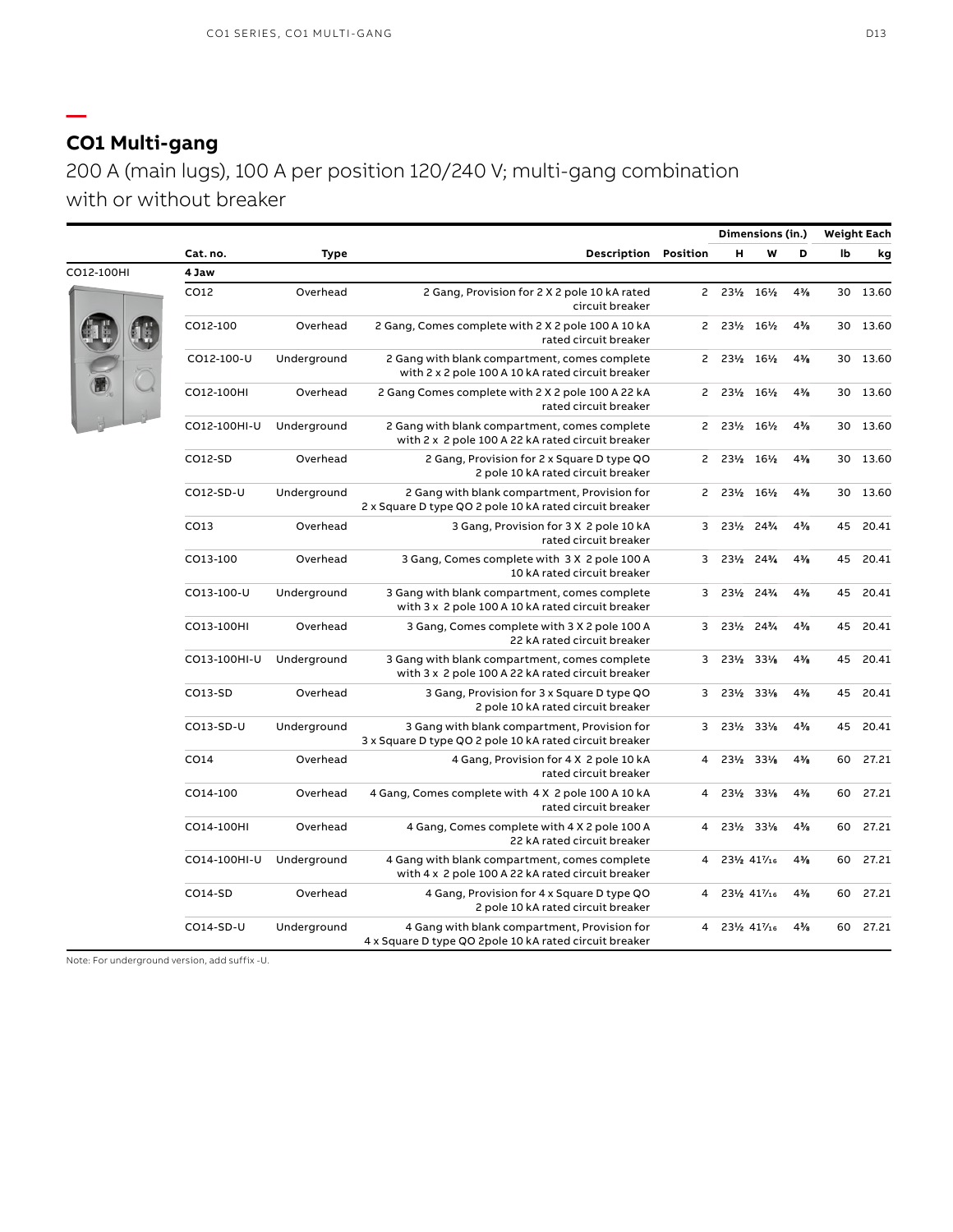## **CO1 Multi-gang**

**—**

200 A (main lugs), 100 A per position 120/240 V; multi-gang combination with or without breaker

|            |              |             |                                                                                                         |                | Dimensions (in.)         |              |                | <b>Weight Each</b> |       |
|------------|--------------|-------------|---------------------------------------------------------------------------------------------------------|----------------|--------------------------|--------------|----------------|--------------------|-------|
|            | Cat. no.     | <b>Type</b> | <b>Description Position</b>                                                                             |                | н                        | W            | D              | lb                 | kg    |
| CO12-100HI | 4 Jaw        |             |                                                                                                         |                |                          |              |                |                    |       |
|            | CO12         | Overhead    | 2 Gang, Provision for 2 X 2 pole 10 kA rated<br>circuit breaker                                         |                | 2 231/2 161/2            |              | 4%             | 30                 | 13.60 |
|            | CO12-100     | Overhead    | 2 Gang, Comes complete with 2 X 2 pole 100 A 10 kA<br>rated circuit breaker                             |                | 2 231/2 161/2            |              | $4\frac{3}{8}$ | 30                 | 13.60 |
|            | CO12-100-U   | Underground | 2 Gang with blank compartment, comes complete<br>with 2 x 2 pole 100 A 10 kA rated circuit breaker      | $\mathsf{2}$   | $23\frac{1}{2}$          | 16½          | 4%             | 30                 | 13.60 |
|            | CO12-100HI   | Overhead    | 2 Gang Comes complete with 2 X 2 pole 100 A 22 kA<br>rated circuit breaker                              |                | 2 231/2 161/2            |              | 4%             | 30                 | 13.60 |
|            | CO12-100HI-U | Underground | 2 Gang with blank compartment, comes complete<br>with 2 x 2 pole 100 A 22 kA rated circuit breaker      |                | 2 231/2 161/2            |              | 4%             | 30                 | 13.60 |
|            | CO12-SD      | Overhead    | 2 Gang, Provision for 2 x Square D type QO<br>2 pole 10 kA rated circuit breaker                        | $\mathsf{S}$   | 23½                      | 16½          | 4%             | 30                 | 13.60 |
|            | CO12-SD-U    | Underground | 2 Gang with blank compartment, Provision for<br>2 x Square D type QO 2 pole 10 kA rated circuit breaker |                | $2 \t23\frac{1}{2}$      | 16½          | 4%             | 30                 | 13.60 |
|            | CO13         | Overhead    | 3 Gang, Provision for 3 X 2 pole 10 kA<br>rated circuit breaker                                         |                | $3\;\;23\%$              | 24%          | 4%             | 45                 | 20.41 |
|            | CO13-100     | Overhead    | 3 Gang, Comes complete with 3 X 2 pole 100 A<br>10 kA rated circuit breaker                             | 3              |                          | 231/2 241/4  | 4%             | 45                 | 20.41 |
|            | CO13-100-U   | Underground | 3 Gang with blank compartment, comes complete<br>with 3 x 2 pole 100 A 10 kA rated circuit breaker      | 3              | $23\frac{1}{2}$          | 24%          | $4\frac{3}{6}$ | 45                 | 20.41 |
|            | CO13-100HI   | Overhead    | 3 Gang, Comes complete with 3 X 2 pole 100 A<br>22 kA rated circuit breaker                             | 3              | 231/2                    | 24%          | 4%             | 45                 | 20.41 |
|            | CO13-100HI-U | Underground | 3 Gang with blank compartment, comes complete<br>with 3 x 2 pole 100 A 22 kA rated circuit breaker      |                | 3 231/2 331/8            |              | 4%             | 45                 | 20.41 |
|            | CO13-SD      | Overhead    | 3 Gang, Provision for 3 x Square D type QO<br>2 pole 10 kA rated circuit breaker                        | 3              | 23½                      | 33%          | 4%             | 45                 | 20.41 |
|            | $CO13-SD-U$  | Underground | 3 Gang with blank compartment, Provision for<br>3 x Square D type QO 2 pole 10 kA rated circuit breaker | 3              | 231/2 331/8              |              | $4\frac{3}{6}$ | 45                 | 20.41 |
|            | CO14         | Overhead    | 4 Gang, Provision for 4 X 2 pole 10 kA<br>rated circuit breaker                                         | $\overline{4}$ | 231/2                    | 33%          | 4%             | 60                 | 27.21 |
|            | CO14-100     | Overhead    | 4 Gang, Comes complete with 4 X 2 pole 100 A 10 kA<br>rated circuit breaker                             | $\overline{4}$ |                          | 231/2 331/2  | 4%             | 60                 | 27.21 |
|            | CO14-100HI   | Overhead    | 4 Gang, Comes complete with 4 X 2 pole 100 A<br>22 kA rated circuit breaker                             | 4              | 23½                      | 33%          | 4%             | 60                 | 27.21 |
|            | CO14-100HI-U | Underground | 4 Gang with blank compartment, comes complete<br>with 4 x 2 pole 100 A 22 kA rated circuit breaker      | 4              |                          | 231/2 417/16 | $4\frac{3}{8}$ | 60                 | 27.21 |
|            | CO14-SD      | Overhead    | 4 Gang, Provision for 4 x Square D type QO<br>2 pole 10 kA rated circuit breaker                        | $\overline{4}$ |                          | 231/2 417/16 | 4%             | 60                 | 27.21 |
|            | CO14-SD-U    | Underground | 4 Gang with blank compartment, Provision for<br>4 x Square D type QO 2pole 10 kA rated circuit breaker  |                | 4 23 / 41 $\frac{7}{16}$ |              | 4%             | 60                 | 27.21 |

Note: For underground version, add suffix -U.